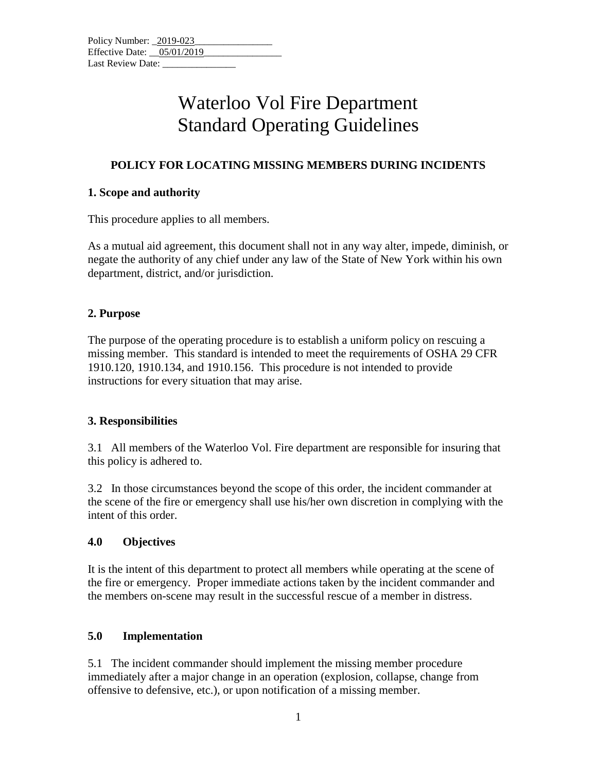#### **POLICY FOR LOCATING MISSING MEMBERS DURING INCIDENTS**

#### **1. Scope and authority**

This procedure applies to all members.

As a mutual aid agreement, this document shall not in any way alter, impede, diminish, or negate the authority of any chief under any law of the State of New York within his own department, district, and/or jurisdiction.

#### **2. Purpose**

The purpose of the operating procedure is to establish a uniform policy on rescuing a missing member. This standard is intended to meet the requirements of OSHA 29 CFR 1910.120, 1910.134, and 1910.156. This procedure is not intended to provide instructions for every situation that may arise.

#### **3. Responsibilities**

3.1 All members of the Waterloo Vol. Fire department are responsible for insuring that this policy is adhered to.

3.2 In those circumstances beyond the scope of this order, the incident commander at the scene of the fire or emergency shall use his/her own discretion in complying with the intent of this order.

#### **4.0 Objectives**

It is the intent of this department to protect all members while operating at the scene of the fire or emergency. Proper immediate actions taken by the incident commander and the members on-scene may result in the successful rescue of a member in distress.

#### **5.0 Implementation**

5.1 The incident commander should implement the missing member procedure immediately after a major change in an operation (explosion, collapse, change from offensive to defensive, etc.), or upon notification of a missing member.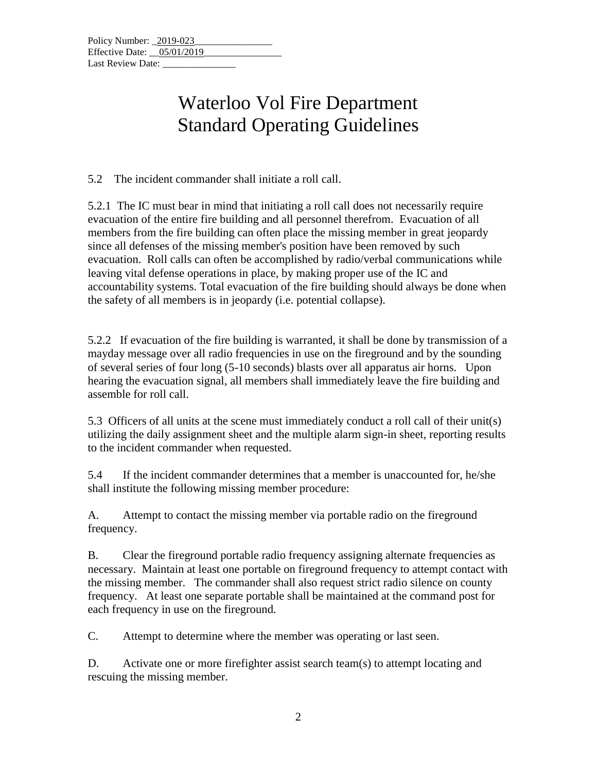5.2 The incident commander shall initiate a roll call.

5.2.1 The IC must bear in mind that initiating a roll call does not necessarily require evacuation of the entire fire building and all personnel therefrom. Evacuation of all members from the fire building can often place the missing member in great jeopardy since all defenses of the missing member's position have been removed by such evacuation. Roll calls can often be accomplished by radio/verbal communications while leaving vital defense operations in place, by making proper use of the IC and accountability systems. Total evacuation of the fire building should always be done when the safety of all members is in jeopardy (i.e. potential collapse).

5.2.2 If evacuation of the fire building is warranted, it shall be done by transmission of a mayday message over all radio frequencies in use on the fireground and by the sounding of several series of four long (5-10 seconds) blasts over all apparatus air horns. Upon hearing the evacuation signal, all members shall immediately leave the fire building and assemble for roll call.

5.3 Officers of all units at the scene must immediately conduct a roll call of their unit(s) utilizing the daily assignment sheet and the multiple alarm sign-in sheet, reporting results to the incident commander when requested.

5.4 If the incident commander determines that a member is unaccounted for, he/she shall institute the following missing member procedure:

A. Attempt to contact the missing member via portable radio on the fireground frequency.

B. Clear the fireground portable radio frequency assigning alternate frequencies as necessary. Maintain at least one portable on fireground frequency to attempt contact with the missing member. The commander shall also request strict radio silence on county frequency. At least one separate portable shall be maintained at the command post for each frequency in use on the fireground.

C. Attempt to determine where the member was operating or last seen.

D. Activate one or more firefighter assist search team(s) to attempt locating and rescuing the missing member.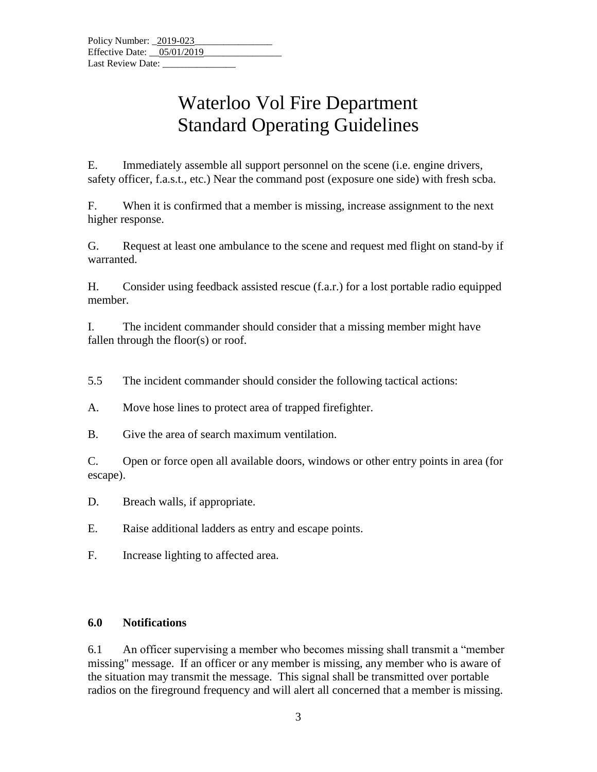E. Immediately assemble all support personnel on the scene (i.e. engine drivers, safety officer, f.a.s.t., etc.) Near the command post (exposure one side) with fresh scba.

F. When it is confirmed that a member is missing, increase assignment to the next higher response.

G. Request at least one ambulance to the scene and request med flight on stand-by if warranted.

H. Consider using feedback assisted rescue (f.a.r.) for a lost portable radio equipped member.

I. The incident commander should consider that a missing member might have fallen through the floor(s) or roof.

5.5 The incident commander should consider the following tactical actions:

A. Move hose lines to protect area of trapped firefighter.

B. Give the area of search maximum ventilation.

C. Open or force open all available doors, windows or other entry points in area (for escape).

D. Breach walls, if appropriate.

E. Raise additional ladders as entry and escape points.

F. Increase lighting to affected area.

#### **6.0 Notifications**

6.1 An officer supervising a member who becomes missing shall transmit a "member missing" message. If an officer or any member is missing, any member who is aware of the situation may transmit the message. This signal shall be transmitted over portable radios on the fireground frequency and will alert all concerned that a member is missing.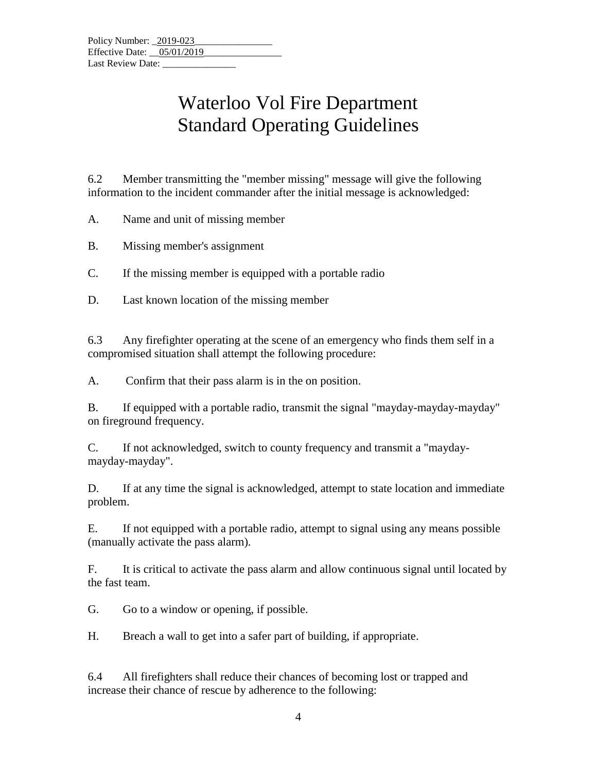6.2 Member transmitting the "member missing" message will give the following information to the incident commander after the initial message is acknowledged:

A. Name and unit of missing member

B. Missing member's assignment

C. If the missing member is equipped with a portable radio

D. Last known location of the missing member

6.3 Any firefighter operating at the scene of an emergency who finds them self in a compromised situation shall attempt the following procedure:

A. Confirm that their pass alarm is in the on position.

B. If equipped with a portable radio, transmit the signal "mayday-mayday-mayday" on fireground frequency.

C. If not acknowledged, switch to county frequency and transmit a "maydaymayday-mayday".

D. If at any time the signal is acknowledged, attempt to state location and immediate problem.

E. If not equipped with a portable radio, attempt to signal using any means possible (manually activate the pass alarm).

F. It is critical to activate the pass alarm and allow continuous signal until located by the fast team.

G. Go to a window or opening, if possible.

H. Breach a wall to get into a safer part of building, if appropriate.

6.4 All firefighters shall reduce their chances of becoming lost or trapped and increase their chance of rescue by adherence to the following: